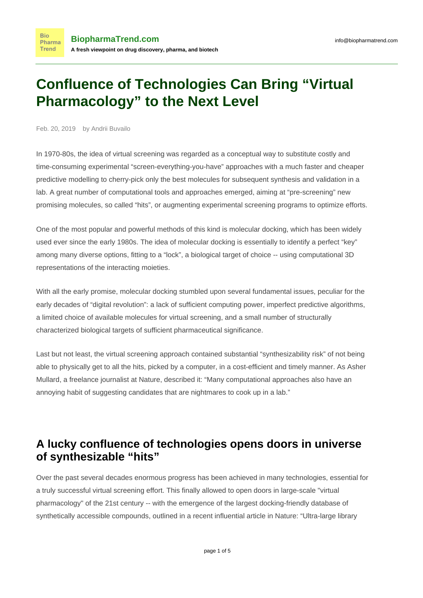# **Confluence of Technologies Can Bring "Virtual Pharmacology" to the Next Level**

Feb. 20, 2019 by Andrii Buvailo

**Bio** 

Trend

In 1970-80s, the idea of [virtual screening](https://www.ncbi.nlm.nih.gov/pmc/articles/PMC1360234/) was regarded as a conceptual way to substitute costly and time-consuming experimental "screen-everything-you-have" approaches with a much faster and cheaper predictive modelling to cherry-pick only the best molecules for subsequent synthesis and validation in a lab. A great number of computational tools and approaches emerged, aiming at "pre-screening" new promising molecules, so called "hits", or augmenting experimental screening programs to optimize efforts.

One of the most popular and powerful methods of this kind is [molecular docking](https://www.ncbi.nlm.nih.gov/pmc/articles/PMC3151162/), which has been widely used ever since the early 1980s. The idea of molecular docking is essentially to identify a perfect "key" among many diverse options, fitting to a "lock", a biological target of choice -- using computational 3D representations of the interacting moieties.

With all the early promise, molecular docking stumbled upon several fundamental issues, peculiar for the early decades of "digital revolution": a lack of sufficient computing power, imperfect predictive algorithms, a limited choice of available molecules for virtual screening, and a small number of structurally characterized biological targets of sufficient pharmaceutical significance.

Last but not least, the virtual screening approach contained substantial "synthesizability risk" of not being able to physically get to all the hits, picked by a computer, in a cost-efficient and timely manner. As Asher Mullard, a freelance journalist at Nature, [described](https://www.nature.com/news/the-drug-maker-s-guide-to-the-galaxy-1.22683#auth-1) it: "Many computational approaches also have an annoying habit of suggesting candidates that are nightmares to cook up in a lab."

## **A lucky confluence of technologies opens doors in universe of synthesizable "hits"**

Over the past several decades enormous progress has been achieved in many technologies, essential for a truly successful virtual screening effort. This finally allowed to open doors in large-scale "virtual pharmacology" of the 21st century -- with the emergence of the largest docking-friendly database of synthetically accessible compounds, outlined in a recent influential article in Nature: ["Ultra-large library](https://www.nature.com/articles/s41586-019-0917-9)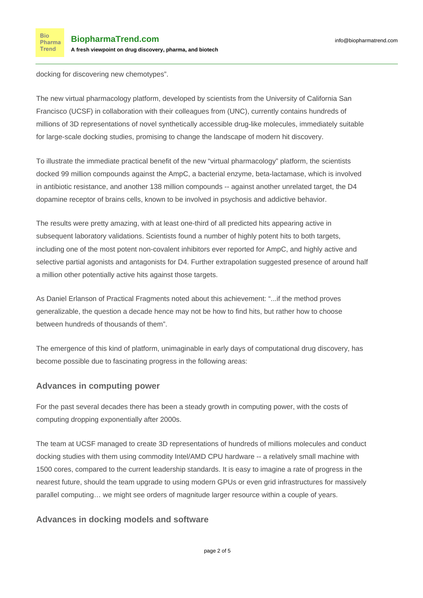[docking for discovering new chemotypes](https://www.nature.com/articles/s41586-019-0917-9)".

The new virtual pharmacology platform, developed by scientists from the University of California San Francisco (UCSF) in collaboration with their colleagues from (UNC), currently contains hundreds of millions of 3D representations of novel synthetically accessible drug-like molecules, immediately suitable for large-scale docking studies, promising to change the landscape of modern hit discovery.

To illustrate the immediate practical benefit of the new "virtual pharmacology" platform, the scientists docked 99 million compounds against the AmpC, a bacterial enzyme, beta-lactamase, which is involved in antibiotic resistance, and another 138 million compounds -- against another unrelated target, the D4 dopamine receptor of brains cells, known to be involved in psychosis and addictive behavior.

The results were pretty amazing, with at least one-third of all predicted hits appearing active in subsequent laboratory validations. Scientists found a number of highly potent hits to both targets, including one of the most potent non-covalent inhibitors ever reported for AmpC, and highly active and selective partial agonists and antagonists for D4. Further extrapolation suggested presence of around half a million other potentially active hits against those targets.

As Daniel Erlanson of [Practical Fragments](http://practicalfragments.blogspot.com/2019/02/what-will-you-do-with-hundreds-of.html) noted about this achievement: "...if the method proves generalizable, the question a decade hence may not be how to find hits, but rather how to choose between hundreds of thousands of them".

The emergence of this kind of platform, unimaginable in early days of computational drug discovery, has become possible due to fascinating progress in the following areas:

#### **Advances in computing power**

For the past several decades there has been a steady [growth](http://statchatva.org/2012/06/06/computers-really-are-taking-our-jobs/) in computing power, with the costs of computing dropping exponentially after 2000s.

The team at UCSF managed to create 3D representations of hundreds of millions molecules and conduct docking studies with them using commodity Intel/AMD CPU hardware -- a relatively small machine with 1500 cores, compared to the current leadership standards. It is easy to imagine a rate of progress in the nearest future, should the team upgrade to using modern GPUs or even grid infrastructures for massively parallel computing… we might see orders of magnitude larger resource within a couple of years.

### **Advances in docking models and software**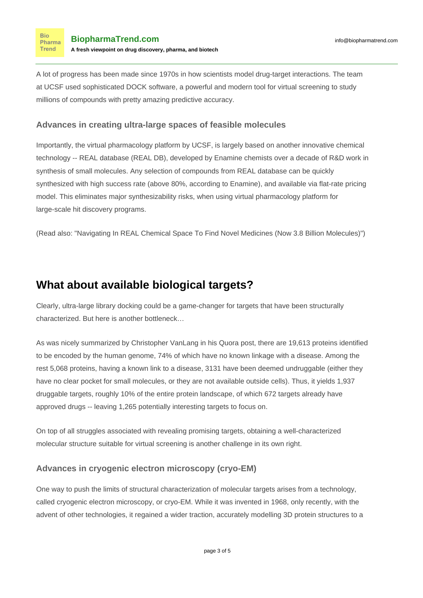A lot of progress has been made since 1970s in how scientists model drug-target interactions. The team at UCSF used sophisticated DOCK software, a [powerful and modern tool for virtual screening](https://www.ucsf.edu/news/2017/04/406436/how-computers-are-searching-drugs-future) to study millions of compounds with pretty amazing predictive accuracy.

#### **Advances in creating ultra-large spaces of feasible molecules**

Importantly, the virtual pharmacology platform by UCSF, is largely based on another innovative chemical technology -- [REAL database](https://www.enamine.net/library-synthesis/real-compounds/real-database) (REAL DB), developed by Enamine chemists over a decade of R&D work in synthesis of small molecules. Any selection of compounds from REAL database can be quickly synthesized with high success rate (above 80%, according to Enamine), and available via flat-rate pricing model. This eliminates major synthesizability risks, when using virtual pharmacology platform for large-scale hit discovery programs.

(Read also: ["Navigating In REAL Chemical Space To Find Novel Medicines \(Now 3.8 Billion Molecules\)](https://www.biopharmatrend.com/post/56-navigating-real-chemical-space-in-a-pursuit-of-novel-medicines/)")

# **What about available biological targets?**

Clearly, ultra-large library docking could be a game-changer for targets that have been structurally characterized. But here is another bottleneck…

As was nicely summarized by Christopher VanLang in his [Quora post,](https://www.quora.com/How-many-human-druggable-targets-exist) there are 19,613 proteins identified to be encoded by the human genome, 74% of which have no known linkage with a disease. Among the rest 5,068 proteins, having a known link to a disease, 3131 have been deemed undruggable (either they have no clear pocket for small molecules, or they are not available outside cells). Thus, it yields 1,937 druggable targets, roughly 10% of the entire protein landscape, of which 672 targets already have approved drugs -- leaving 1,265 potentially interesting targets to focus on.

On top of all struggles associated with revealing promising targets, obtaining a well-characterized molecular structure suitable for virtual screening is another challenge in its own right.

### **Advances in cryogenic electron microscopy (cryo-EM)**

One way to push the limits of structural characterization of molecular targets arises from a technology, called cryogenic electron microscopy, or cryo-EM. While it was invented in 1968, only recently, with the advent of other technologies, it regained a wider traction[, accurately modelling 3D protein structures](https://www.intel.com/content/www/us/en/healthcare-it/solutions/documents/cryo-electron-mycroscopy-brief.html) to a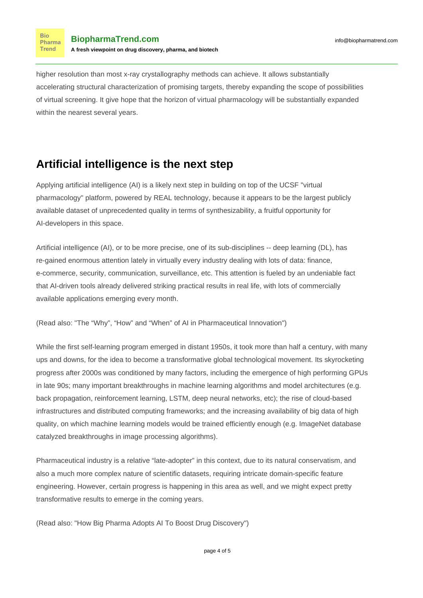**Bio** Pharma **Trend** 

higher resolution than most x-ray crystallography methods can achieve. It allows substantially accelerating structural characterization of promising targets, thereby expanding the scope of possibilities of virtual screening. It give hope that the horizon of virtual pharmacology will be substantially expanded within the nearest several years.

### **Artificial intelligence is the next step**

Applying artificial intelligence (AI) is a likely next step in building on top of the UCSF "virtual pharmacology" platform, powered by REAL technology, because it appears to be the largest publicly available dataset of unprecedented quality in terms of synthesizability, a fruitful opportunity for AI-developers in this space.

Artificial intelligence (AI), or to be more precise, one of its sub-disciplines -- deep learning (DL), has re-gained enormous attention lately in virtually every industry dealing with lots of data: finance, e-commerce, security, communication, surveillance, etc. This attention is fueled by an undeniable fact that AI-driven tools already delivered striking practical results in real life, with lots of commercially available applications emerging every month.

(Read also[: "The "Why", "How" and "When" of AI in Pharmaceutical Innovation"](https://www.biopharmatrend.com/post/64-the-why-how-and-when-of-ai-in-pharmaceutical-innovation/))

While the first self-learning program emerged in distant 1950s, it took more than half a century, with many ups and downs, for the idea to become a transformative global technological movement. Its skyrocketing progress after 2000s was conditioned by many factors, including the emergence of high performing GPUs in late 90s; many important breakthroughs in machine learning algorithms and model architectures (e.g. back propagation, reinforcement learning, LSTM, deep neural networks, etc); the rise of cloud-based infrastructures and distributed computing frameworks; and the increasing availability of big data of high quality, on which machine learning models would be trained efficiently enough (e.g. ImageNet database catalyzed breakthroughs in image processing algorithms).

Pharmaceutical industry is a relative "late-adopter" in this context, due to its natural conservatism, and also a much more complex nature of scientific datasets, requiring intricate domain-specific feature engineering. However, certain progress is happening in this area as well, and we might expect pretty transformative results to emerge in the coming years.

(Read also: ["How Big Pharma Adopts AI To Boost Drug Discovery"](https://www.biopharmatrend.com/post/34-biopharmas-hunt-for-artificial-intelligence-who-does-what/))